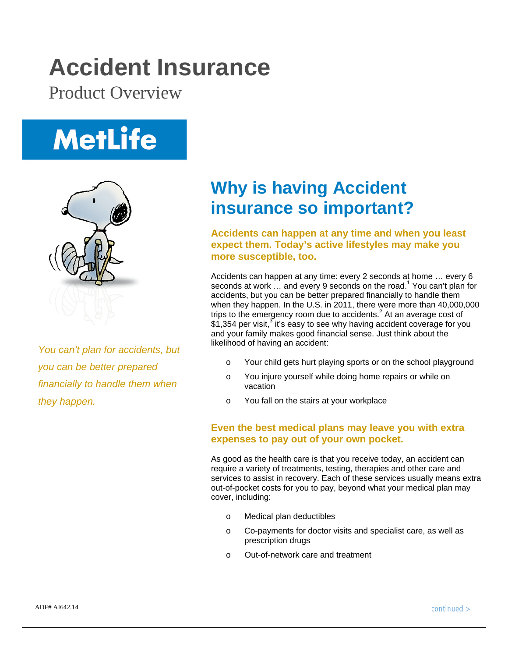## **Accident Insurance**

Product Overview

# **MetLife**



*You can't plan for accidents, but you can be better prepared financially to handle them when they happen.*

### **Why is having Accident insurance so important?**

**Accidents can happen at any time and when you least expect them. Today's active lifestyles may make you more susceptible, too.** 

Accidents can happen at any time: every 2 seconds at home … every 6 seconds at work ... and every 9 seconds on the road.<sup>1</sup> You can't plan for accidents, but you can be better prepared financially to handle them when they happen. In the U.S. in 2011, there were more than 40,000,000 trips to the emergency room due to accidents. $^2$  At an average cost of  $$1,354$  per visit,<sup>3</sup> it's easy to see why having accident coverage for you and your family makes good financial sense. Just think about the likelihood of having an accident:

- o Your child gets hurt playing sports or on the school playground
- o You injure yourself while doing home repairs or while on vacation
- o You fall on the stairs at your workplace

#### **Even the best medical plans may leave you with extra expenses to pay out of your own pocket.**

As good as the health care is that you receive today, an accident can require a variety of treatments, testing, therapies and other care and services to assist in recovery. Each of these services usually means extra out-of-pocket costs for you to pay, beyond what your medical plan may cover, including:

- o Medical plan deductibles
- o Co-payments for doctor visits and specialist care, as well as prescription drugs
- o Out-of-network care and treatment